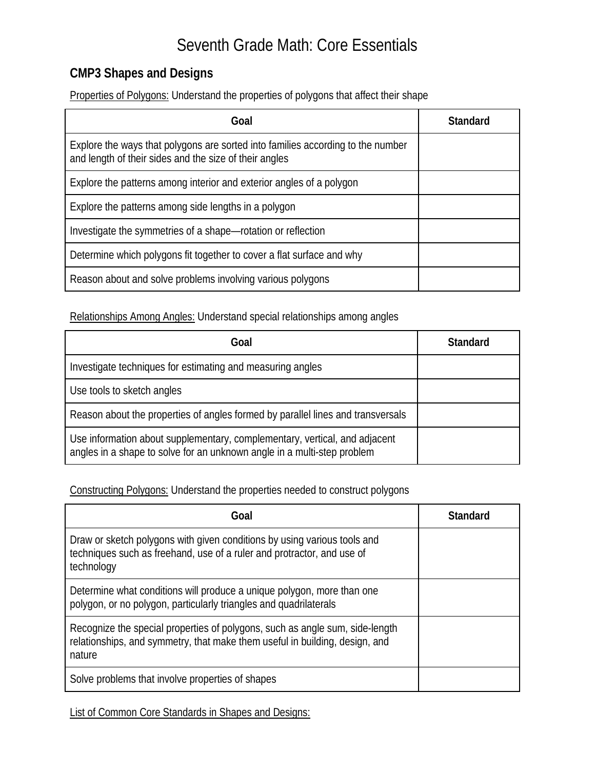# Seventh Grade Math: Core Essentials

## **CMP3 Shapes and Designs**

Properties of Polygons: Understand the properties of polygons that affect their shape

| Goal                                                                                                                                      | <b>Standard</b> |
|-------------------------------------------------------------------------------------------------------------------------------------------|-----------------|
| Explore the ways that polygons are sorted into families according to the number<br>and length of their sides and the size of their angles |                 |
| Explore the patterns among interior and exterior angles of a polygon                                                                      |                 |
| Explore the patterns among side lengths in a polygon                                                                                      |                 |
| Investigate the symmetries of a shape-rotation or reflection                                                                              |                 |
| Determine which polygons fit together to cover a flat surface and why                                                                     |                 |
| Reason about and solve problems involving various polygons                                                                                |                 |

#### Relationships Among Angles: Understand special relationships among angles

| Goal                                                                                                                                                  | <b>Standard</b> |
|-------------------------------------------------------------------------------------------------------------------------------------------------------|-----------------|
| Investigate techniques for estimating and measuring angles                                                                                            |                 |
| Use tools to sketch angles                                                                                                                            |                 |
| Reason about the properties of angles formed by parallel lines and transversals                                                                       |                 |
| Use information about supplementary, complementary, vertical, and adjacent<br>angles in a shape to solve for an unknown angle in a multi-step problem |                 |

Constructing Polygons: Understand the properties needed to construct polygons

| Goal                                                                                                                                                                  | <b>Standard</b> |
|-----------------------------------------------------------------------------------------------------------------------------------------------------------------------|-----------------|
| Draw or sketch polygons with given conditions by using various tools and<br>techniques such as freehand, use of a ruler and protractor, and use of<br>technology      |                 |
| Determine what conditions will produce a unique polygon, more than one<br>polygon, or no polygon, particularly triangles and quadrilaterals                           |                 |
| Recognize the special properties of polygons, such as angle sum, side-length<br>relationships, and symmetry, that make them useful in building, design, and<br>nature |                 |
| Solve problems that involve properties of shapes                                                                                                                      |                 |

List of Common Core Standards in Shapes and Designs: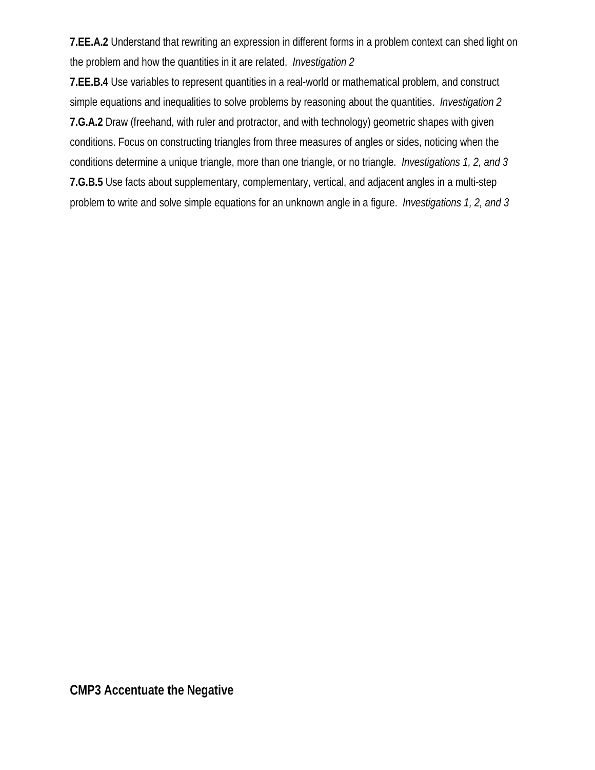**7.EE.A.2** Understand that rewriting an expression in different forms in a problem context can shed light on the problem and how the quantities in it are related. *Investigation 2*

**7.EE.B.4** Use variables to represent quantities in a real-world or mathematical problem, and construct simple equations and inequalities to solve problems by reasoning about the quantities. *Investigation 2* **7.G.A.2** Draw (freehand, with ruler and protractor, and with technology) geometric shapes with given conditions. Focus on constructing triangles from three measures of angles or sides, noticing when the conditions determine a unique triangle, more than one triangle, or no triangle. *Investigations 1, 2, and 3* **7.G.B.5** Use facts about supplementary, complementary, vertical, and adjacent angles in a multi-step problem to write and solve simple equations for an unknown angle in a figure. *Investigations 1, 2, and 3*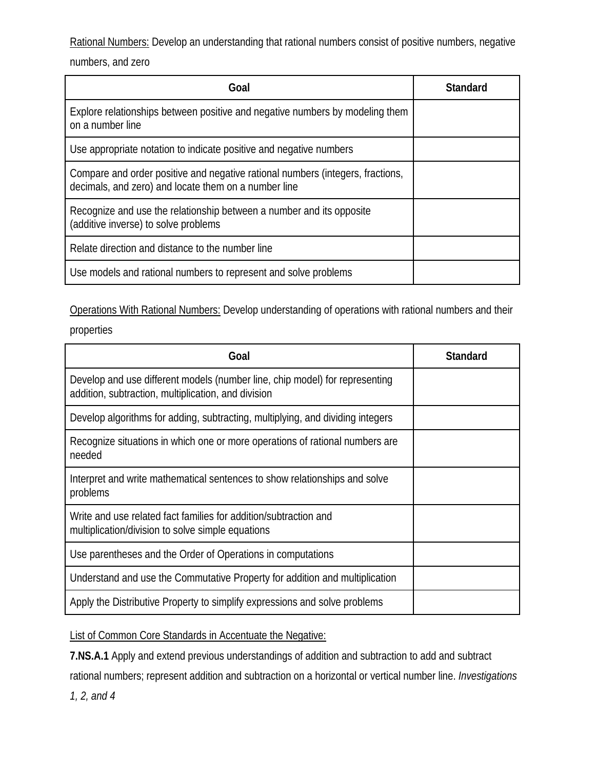Rational Numbers: Develop an understanding that rational numbers consist of positive numbers, negative numbers, and zero

| Goal                                                                                                                                   | <b>Standard</b> |
|----------------------------------------------------------------------------------------------------------------------------------------|-----------------|
| Explore relationships between positive and negative numbers by modeling them<br>on a number line                                       |                 |
| Use appropriate notation to indicate positive and negative numbers                                                                     |                 |
| Compare and order positive and negative rational numbers (integers, fractions,<br>decimals, and zero) and locate them on a number line |                 |
| Recognize and use the relationship between a number and its opposite<br>(additive inverse) to solve problems                           |                 |
| Relate direction and distance to the number line                                                                                       |                 |
| Use models and rational numbers to represent and solve problems                                                                        |                 |

Operations With Rational Numbers: Develop understanding of operations with rational numbers and their

properties

| Goal                                                                                                                               | <b>Standard</b> |
|------------------------------------------------------------------------------------------------------------------------------------|-----------------|
| Develop and use different models (number line, chip model) for representing<br>addition, subtraction, multiplication, and division |                 |
| Develop algorithms for adding, subtracting, multiplying, and dividing integers                                                     |                 |
| Recognize situations in which one or more operations of rational numbers are<br>needed                                             |                 |
| Interpret and write mathematical sentences to show relationships and solve<br>problems                                             |                 |
| Write and use related fact families for addition/subtraction and<br>multiplication/division to solve simple equations              |                 |
| Use parentheses and the Order of Operations in computations                                                                        |                 |
| Understand and use the Commutative Property for addition and multiplication                                                        |                 |
| Apply the Distributive Property to simplify expressions and solve problems                                                         |                 |

List of Common Core Standards in Accentuate the Negative:

**7.NS.A.1** Apply and extend previous understandings of addition and subtraction to add and subtract

rational numbers; represent addition and subtraction on a horizontal or vertical number line. *Investigations* 

*1, 2, and 4*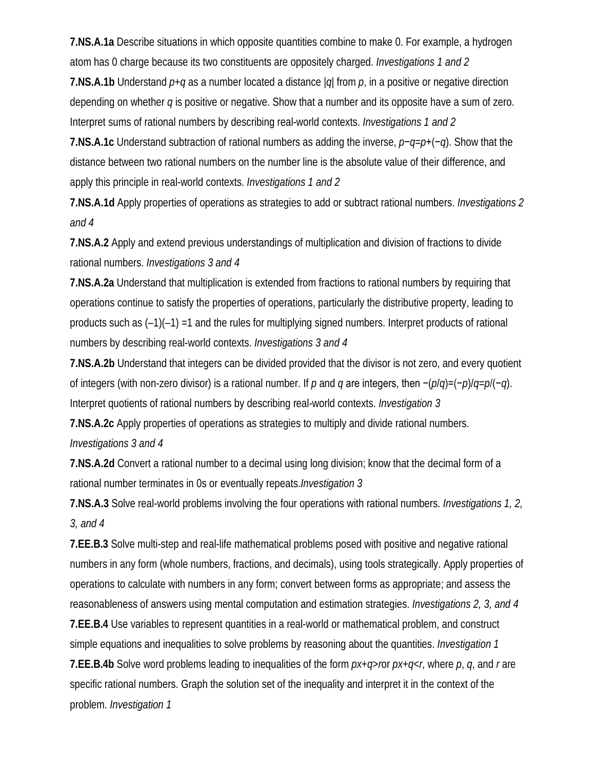**7.NS.A.1a** Describe situations in which opposite quantities combine to make 0. For example, a hydrogen atom has 0 charge because its two constituents are oppositely charged. *Investigations 1 and 2*

**7.NS.A.1b** Understand *p*+*q* as a number located a distance |*q*| from *p*, in a positive or negative direction depending on whether *q* is positive or negative. Show that a number and its opposite have a sum of zero. Interpret sums of rational numbers by describing real-world contexts. *Investigations 1 and 2*

**7.NS.A.1c** Understand subtraction of rational numbers as adding the inverse, *p*−*q*=*p*+(−*q*). Show that the distance between two rational numbers on the number line is the absolute value of their difference, and apply this principle in real-world contexts. *Investigations 1 and 2*

**7.NS.A.1d** Apply properties of operations as strategies to add or subtract rational numbers. *Investigations 2 and 4*

**7.NS.A.2** Apply and extend previous understandings of multiplication and division of fractions to divide rational numbers. *Investigations 3 and 4*

**7.NS.A.2a** Understand that multiplication is extended from fractions to rational numbers by requiring that operations continue to satisfy the properties of operations, particularly the distributive property, leading to products such as (–1)(–1) =1 and the rules for multiplying signed numbers. Interpret products of rational numbers by describing real-world contexts. *Investigations 3 and 4*

**7.NS.A.2b** Understand that integers can be divided provided that the divisor is not zero, and every quotient of integers (with non-zero divisor) is a rational number. If *p* and *q* are integers, then −(*p*/*q*)=(−*p*)/*q*=*p*/(−*q*). Interpret quotients of rational numbers by describing real-world contexts. *Investigation 3*

**7.NS.A.2c** Apply properties of operations as strategies to multiply and divide rational numbers. *Investigations 3 and 4*

**7.NS.A.2d** Convert a rational number to a decimal using long division; know that the decimal form of a rational number terminates in 0s or eventually repeats.*Investigation 3*

**7.NS.A.3** Solve real-world problems involving the four operations with rational numbers. *Investigations 1, 2, 3, and 4*

**7.EE.B.3** Solve multi-step and real-life mathematical problems posed with positive and negative rational numbers in any form (whole numbers, fractions, and decimals), using tools strategically. Apply properties of operations to calculate with numbers in any form; convert between forms as appropriate; and assess the reasonableness of answers using mental computation and estimation strategies. *Investigations 2, 3, and 4* **7.EE.B.4** Use variables to represent quantities in a real-world or mathematical problem, and construct simple equations and inequalities to solve problems by reasoning about the quantities. *Investigation 1* **7.EE.B.4b** Solve word problems leading to inequalities of the form *px*+*q*>*r*or *px*+*q*<*r*, where *p*, *q*, and *r* are specific rational numbers. Graph the solution set of the inequality and interpret it in the context of the problem. *Investigation 1*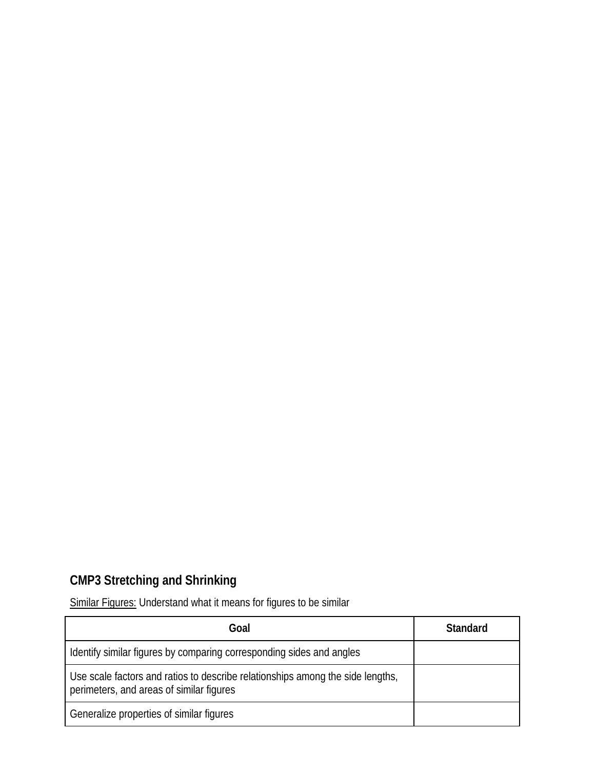# **CMP3 Stretching and Shrinking**

Similar Figures: Understand what it means for figures to be similar

| Goal                                                                                                                       | Standard |
|----------------------------------------------------------------------------------------------------------------------------|----------|
| Identify similar figures by comparing corresponding sides and angles                                                       |          |
| Use scale factors and ratios to describe relationships among the side lengths,<br>perimeters, and areas of similar figures |          |
| Generalize properties of similar figures                                                                                   |          |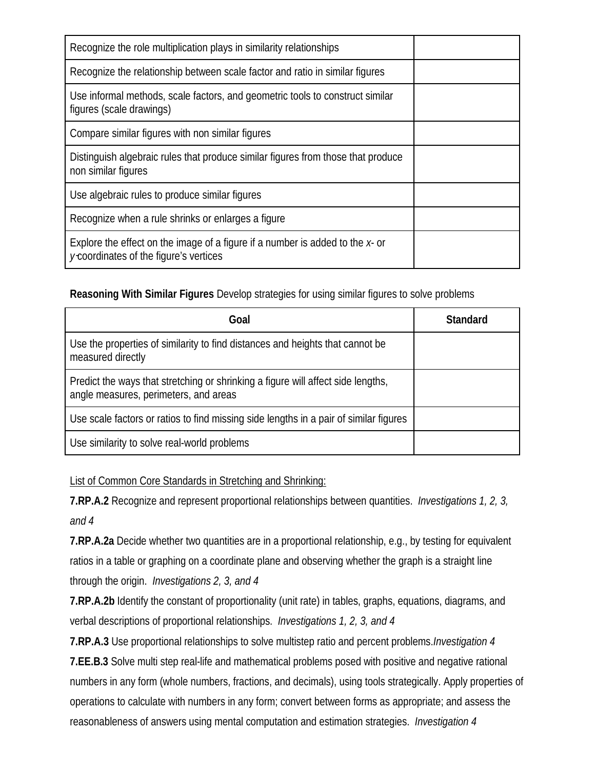| Recognize the role multiplication plays in similarity relationships                                                     |  |
|-------------------------------------------------------------------------------------------------------------------------|--|
| Recognize the relationship between scale factor and ratio in similar figures                                            |  |
| Use informal methods, scale factors, and geometric tools to construct similar<br>figures (scale drawings)               |  |
| Compare similar figures with non similar figures                                                                        |  |
| Distinguish algebraic rules that produce similar figures from those that produce<br>non similar figures                 |  |
| Use algebraic rules to produce similar figures                                                                          |  |
| Recognize when a rule shrinks or enlarges a figure                                                                      |  |
| Explore the effect on the image of a figure if a number is added to the x- or<br>y coordinates of the figure's vertices |  |

**Reasoning With Similar Figures** Develop strategies for using similar figures to solve problems

| Goal                                                                                                                      | <b>Standard</b> |
|---------------------------------------------------------------------------------------------------------------------------|-----------------|
| Use the properties of similarity to find distances and heights that cannot be<br>measured directly                        |                 |
| Predict the ways that stretching or shrinking a figure will affect side lengths,<br>angle measures, perimeters, and areas |                 |
| Use scale factors or ratios to find missing side lengths in a pair of similar figures                                     |                 |
| Use similarity to solve real-world problems                                                                               |                 |

List of Common Core Standards in Stretching and Shrinking:

**7.RP.A.2** Recognize and represent proportional relationships between quantities. *Investigations 1, 2, 3, and 4*

**7.RP.A.2a** Decide whether two quantities are in a proportional relationship, e.g., by testing for equivalent ratios in a table or graphing on a coordinate plane and observing whether the graph is a straight line through the origin. *Investigations 2, 3, and 4*

**7.RP.A.2b** Identify the constant of proportionality (unit rate) in tables, graphs, equations, diagrams, and verbal descriptions of proportional relationships. *Investigations 1, 2, 3, and 4*

**7.RP.A.3** Use proportional relationships to solve multistep ratio and percent problems.*Investigation 4* **7.EE.B.3** Solve multi step real-life and mathematical problems posed with positive and negative rational numbers in any form (whole numbers, fractions, and decimals), using tools strategically. Apply properties of operations to calculate with numbers in any form; convert between forms as appropriate; and assess the reasonableness of answers using mental computation and estimation strategies. *Investigation 4*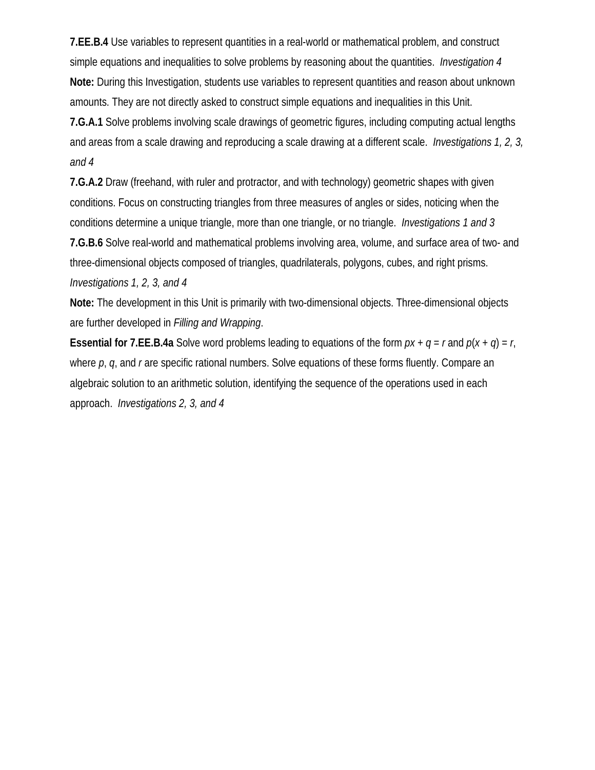**7.EE.B.4** Use variables to represent quantities in a real-world or mathematical problem, and construct simple equations and inequalities to solve problems by reasoning about the quantities. *Investigation 4* **Note:** During this Investigation, students use variables to represent quantities and reason about unknown amounts. They are not directly asked to construct simple equations and inequalities in this Unit.

**7.G.A.1** Solve problems involving scale drawings of geometric figures, including computing actual lengths and areas from a scale drawing and reproducing a scale drawing at a different scale. *Investigations 1, 2, 3, and 4*

**7.G.A.2** Draw (freehand, with ruler and protractor, and with technology) geometric shapes with given conditions. Focus on constructing triangles from three measures of angles or sides, noticing when the conditions determine a unique triangle, more than one triangle, or no triangle. *Investigations 1 and 3* **7.G.B.6** Solve real-world and mathematical problems involving area, volume, and surface area of two- and three-dimensional objects composed of triangles, quadrilaterals, polygons, cubes, and right prisms. *Investigations 1, 2, 3, and 4*

**Note:** The development in this Unit is primarily with two-dimensional objects. Three-dimensional objects are further developed in *Filling and Wrapping*.

**Essential for 7.EE.B.4a** Solve word problems leading to equations of the form  $px + q = r$  and  $p(x + q) = r$ , where *p*, *q*, and *r* are specific rational numbers. Solve equations of these forms fluently. Compare an algebraic solution to an arithmetic solution, identifying the sequence of the operations used in each approach. *Investigations 2, 3, and 4*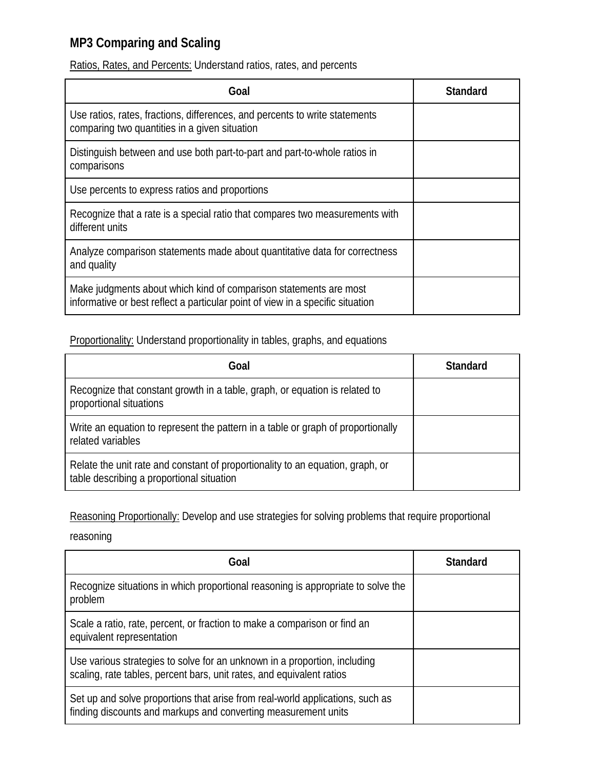## **MP3 Comparing and Scaling**

Ratios, Rates, and Percents: Understand ratios, rates, and percents

| Goal                                                                                                                                                | <b>Standard</b> |
|-----------------------------------------------------------------------------------------------------------------------------------------------------|-----------------|
| Use ratios, rates, fractions, differences, and percents to write statements<br>comparing two quantities in a given situation                        |                 |
| Distinguish between and use both part-to-part and part-to-whole ratios in<br>comparisons                                                            |                 |
| Use percents to express ratios and proportions                                                                                                      |                 |
| Recognize that a rate is a special ratio that compares two measurements with<br>different units                                                     |                 |
| Analyze comparison statements made about quantitative data for correctness<br>and quality                                                           |                 |
| Make judgments about which kind of comparison statements are most<br>informative or best reflect a particular point of view in a specific situation |                 |

Proportionality: Understand proportionality in tables, graphs, and equations

| Goal                                                                                                                        | <b>Standard</b> |
|-----------------------------------------------------------------------------------------------------------------------------|-----------------|
| Recognize that constant growth in a table, graph, or equation is related to<br>proportional situations                      |                 |
| Write an equation to represent the pattern in a table or graph of proportionally<br>related variables                       |                 |
| Relate the unit rate and constant of proportionality to an equation, graph, or<br>table describing a proportional situation |                 |

Reasoning Proportionally: Develop and use strategies for solving problems that require proportional

reasoning

| Goal                                                                                                                                               | <b>Standard</b> |
|----------------------------------------------------------------------------------------------------------------------------------------------------|-----------------|
| Recognize situations in which proportional reasoning is appropriate to solve the<br>problem                                                        |                 |
| Scale a ratio, rate, percent, or fraction to make a comparison or find an<br>equivalent representation                                             |                 |
| Use various strategies to solve for an unknown in a proportion, including<br>scaling, rate tables, percent bars, unit rates, and equivalent ratios |                 |
| Set up and solve proportions that arise from real-world applications, such as<br>finding discounts and markups and converting measurement units    |                 |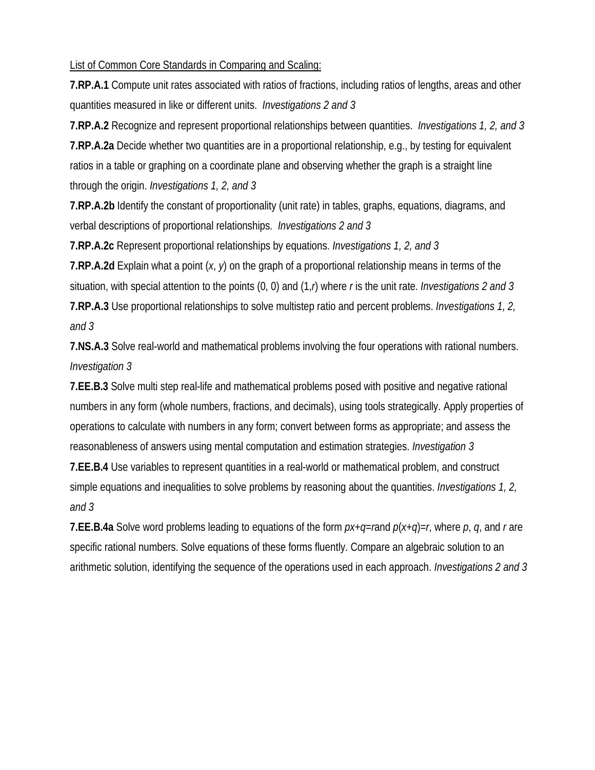#### List of Common Core Standards in Comparing and Scaling:

**7.RP.A.1** Compute unit rates associated with ratios of fractions, including ratios of lengths, areas and other quantities measured in like or different units. *Investigations 2 and 3*

**7.RP.A.2** Recognize and represent proportional relationships between quantities. *Investigations 1, 2, and 3* **7.RP.A.2a** Decide whether two quantities are in a proportional relationship, e.g., by testing for equivalent ratios in a table or graphing on a coordinate plane and observing whether the graph is a straight line through the origin. *Investigations 1, 2, and 3*

**7.RP.A.2b** Identify the constant of proportionality (unit rate) in tables, graphs, equations, diagrams, and verbal descriptions of proportional relationships. *Investigations 2 and 3*

**7.RP.A.2c** Represent proportional relationships by equations. *Investigations 1, 2, and 3*

**7.RP.A.2d** Explain what a point (*x*, *y*) on the graph of a proportional relationship means in terms of the situation, with special attention to the points (0, 0) and (1,*r*) where *r* is the unit rate. *Investigations 2 and 3* **7.RP.A.3** Use proportional relationships to solve multistep ratio and percent problems. *Investigations 1, 2, and 3*

**7.NS.A.3** Solve real-world and mathematical problems involving the four operations with rational numbers. *Investigation 3*

**7.EE.B.3** Solve multi step real-life and mathematical problems posed with positive and negative rational numbers in any form (whole numbers, fractions, and decimals), using tools strategically. Apply properties of operations to calculate with numbers in any form; convert between forms as appropriate; and assess the reasonableness of answers using mental computation and estimation strategies. *Investigation 3*

**7.EE.B.4** Use variables to represent quantities in a real-world or mathematical problem, and construct simple equations and inequalities to solve problems by reasoning about the quantities. *Investigations 1, 2, and 3*

**7.EE.B.4a** Solve word problems leading to equations of the form *px*+*q*=*r*and *p*(*x*+*q*)=*r*, where *p*, *q*, and *r* are specific rational numbers. Solve equations of these forms fluently. Compare an algebraic solution to an arithmetic solution, identifying the sequence of the operations used in each approach. *Investigations 2 and 3*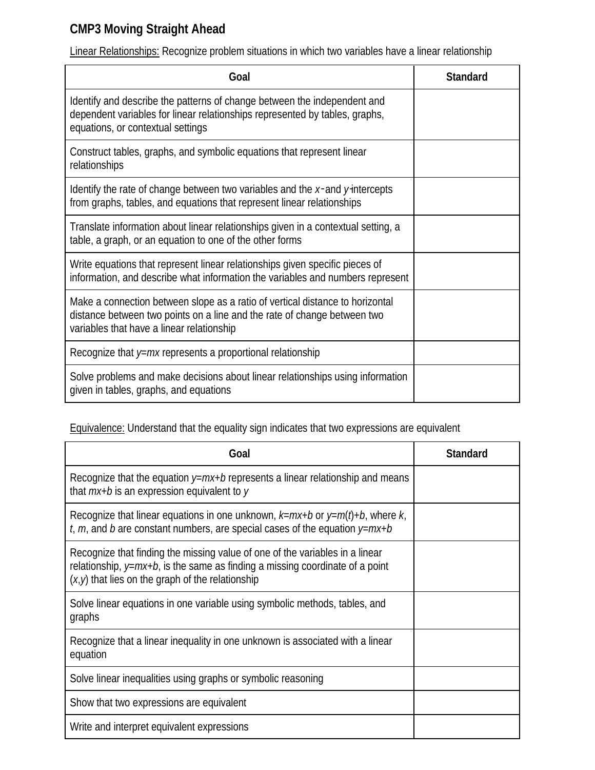# **CMP3 Moving Straight Ahead**

Linear Relationships: Recognize problem situations in which two variables have a linear relationship

| Goal                                                                                                                                                                                                   | <b>Standard</b> |
|--------------------------------------------------------------------------------------------------------------------------------------------------------------------------------------------------------|-----------------|
| Identify and describe the patterns of change between the independent and<br>dependent variables for linear relationships represented by tables, graphs,<br>equations, or contextual settings           |                 |
| Construct tables, graphs, and symbolic equations that represent linear<br>relationships                                                                                                                |                 |
| Identify the rate of change between two variables and the x-and y-intercepts<br>from graphs, tables, and equations that represent linear relationships                                                 |                 |
| Translate information about linear relationships given in a contextual setting, a<br>table, a graph, or an equation to one of the other forms                                                          |                 |
| Write equations that represent linear relationships given specific pieces of<br>information, and describe what information the variables and numbers represent                                         |                 |
| Make a connection between slope as a ratio of vertical distance to horizontal<br>distance between two points on a line and the rate of change between two<br>variables that have a linear relationship |                 |
| Recognize that $y=mx$ represents a proportional relationship                                                                                                                                           |                 |
| Solve problems and make decisions about linear relationships using information<br>given in tables, graphs, and equations                                                                               |                 |

Equivalence: Understand that the equality sign indicates that two expressions are equivalent

| Goal                                                                                                                                                                                                                   | <b>Standard</b> |
|------------------------------------------------------------------------------------------------------------------------------------------------------------------------------------------------------------------------|-----------------|
| Recognize that the equation $y=mx+b$ represents a linear relationship and means<br>that $mx+b$ is an expression equivalent to $y$                                                                                      |                 |
| Recognize that linear equations in one unknown, $k=mx+b$ or $y=m(t)+b$ , where k,<br>t, m, and b are constant numbers, are special cases of the equation $y=mx+b$                                                      |                 |
| Recognize that finding the missing value of one of the variables in a linear<br>relationship, $y=mx+b$ , is the same as finding a missing coordinate of a point<br>$(x, y)$ that lies on the graph of the relationship |                 |
| Solve linear equations in one variable using symbolic methods, tables, and<br>graphs                                                                                                                                   |                 |
| Recognize that a linear inequality in one unknown is associated with a linear<br>equation                                                                                                                              |                 |
| Solve linear inequalities using graphs or symbolic reasoning                                                                                                                                                           |                 |
| Show that two expressions are equivalent                                                                                                                                                                               |                 |
| Write and interpret equivalent expressions                                                                                                                                                                             |                 |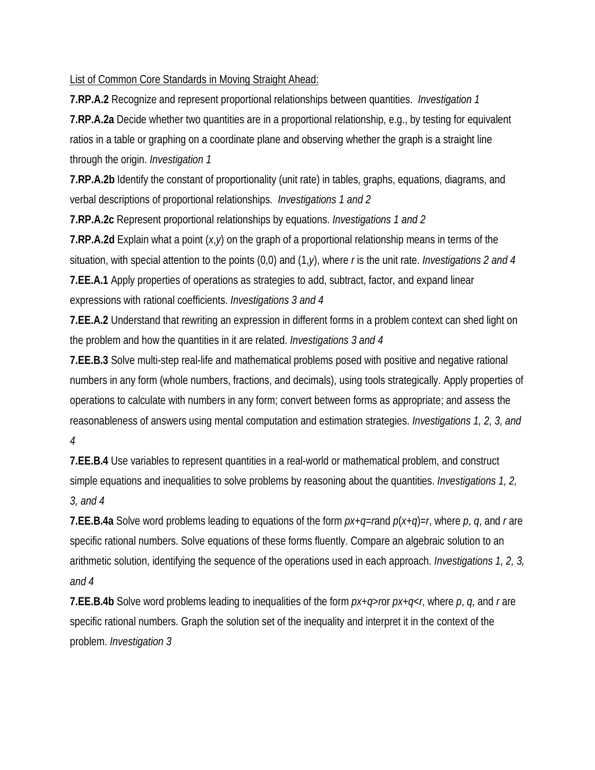List of Common Core Standards in Moving Straight Ahead:

**7.RP.A.2** Recognize and represent proportional relationships between quantities. *Investigation 1* **7.RP.A.2a** Decide whether two quantities are in a proportional relationship, e.g., by testing for equivalent ratios in a table or graphing on a coordinate plane and observing whether the graph is a straight line through the origin. *Investigation 1*

**7.RP.A.2b** Identify the constant of proportionality (unit rate) in tables, graphs, equations, diagrams, and verbal descriptions of proportional relationships. *Investigations 1 and 2*

**7.RP.A.2c** Represent proportional relationships by equations. *Investigations 1 and 2*

**7.RP.A.2d** Explain what a point (*x*,*y*) on the graph of a proportional relationship means in terms of the situation, with special attention to the points (0,0) and (1,*y*), where *r* is the unit rate. *Investigations 2 and 4* **7.EE.A.1** Apply properties of operations as strategies to add, subtract, factor, and expand linear

expressions with rational coefficients. *Investigations 3 and 4*

**7.EE.A.2** Understand that rewriting an expression in different forms in a problem context can shed light on the problem and how the quantities in it are related. *Investigations 3 and 4*

**7.EE.B.3** Solve multi-step real-life and mathematical problems posed with positive and negative rational numbers in any form (whole numbers, fractions, and decimals), using tools strategically. Apply properties of operations to calculate with numbers in any form; convert between forms as appropriate; and assess the reasonableness of answers using mental computation and estimation strategies. *Investigations 1, 2, 3, and 4*

**7.EE.B.4** Use variables to represent quantities in a real-world or mathematical problem, and construct simple equations and inequalities to solve problems by reasoning about the quantities. *Investigations 1, 2, 3, and 4*

**7.EE.B.4a** Solve word problems leading to equations of the form *px*+*q*=*r*and *p*(*x*+*q*)=*r*, where *p*, *q*, and *r* are specific rational numbers. Solve equations of these forms fluently. Compare an algebraic solution to an arithmetic solution, identifying the sequence of the operations used in each approach. *Investigations 1, 2, 3, and 4*

**7.EE.B.4b** Solve word problems leading to inequalities of the form *px*+*q*>*r*or *px*+*q*<*r*, where *p*, *q*, and *r* are specific rational numbers. Graph the solution set of the inequality and interpret it in the context of the problem. *Investigation 3*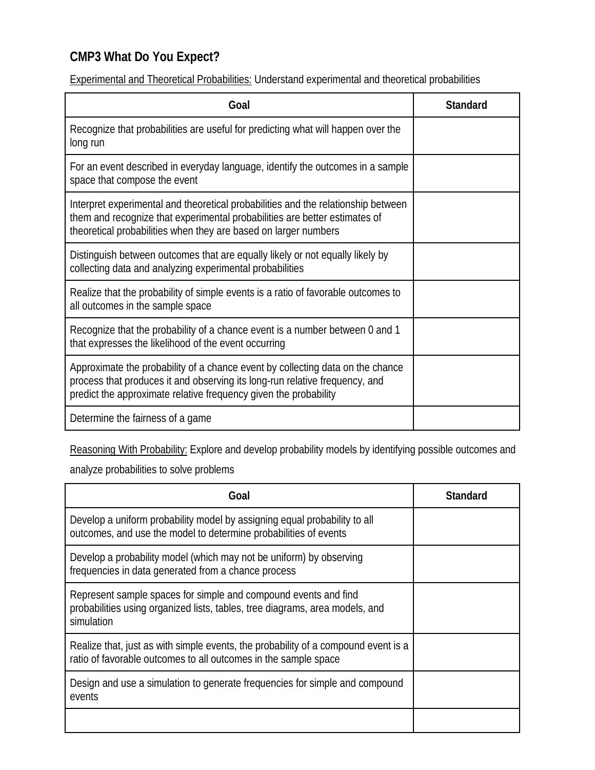### **CMP3 What Do You Expect?**

Experimental and Theoretical Probabilities: Understand experimental and theoretical probabilities

| Goal                                                                                                                                                                                                                               | <b>Standard</b> |
|------------------------------------------------------------------------------------------------------------------------------------------------------------------------------------------------------------------------------------|-----------------|
| Recognize that probabilities are useful for predicting what will happen over the<br>long run                                                                                                                                       |                 |
| For an event described in everyday language, identify the outcomes in a sample<br>space that compose the event                                                                                                                     |                 |
| Interpret experimental and theoretical probabilities and the relationship between<br>them and recognize that experimental probabilities are better estimates of<br>theoretical probabilities when they are based on larger numbers |                 |
| Distinguish between outcomes that are equally likely or not equally likely by<br>collecting data and analyzing experimental probabilities                                                                                          |                 |
| Realize that the probability of simple events is a ratio of favorable outcomes to<br>all outcomes in the sample space                                                                                                              |                 |
| Recognize that the probability of a chance event is a number between 0 and 1<br>that expresses the likelihood of the event occurring                                                                                               |                 |
| Approximate the probability of a chance event by collecting data on the chance<br>process that produces it and observing its long-run relative frequency, and<br>predict the approximate relative frequency given the probability  |                 |
| Determine the fairness of a game                                                                                                                                                                                                   |                 |

Reasoning With Probability: Explore and develop probability models by identifying possible outcomes and

analyze probabilities to solve problems

| Goal                                                                                                                                                          | <b>Standard</b> |
|---------------------------------------------------------------------------------------------------------------------------------------------------------------|-----------------|
| Develop a uniform probability model by assigning equal probability to all<br>outcomes, and use the model to determine probabilities of events                 |                 |
| Develop a probability model (which may not be uniform) by observing<br>frequencies in data generated from a chance process                                    |                 |
| Represent sample spaces for simple and compound events and find<br>probabilities using organized lists, tables, tree diagrams, area models, and<br>simulation |                 |
| Realize that, just as with simple events, the probability of a compound event is a<br>ratio of favorable outcomes to all outcomes in the sample space         |                 |
| Design and use a simulation to generate frequencies for simple and compound<br>events                                                                         |                 |
|                                                                                                                                                               |                 |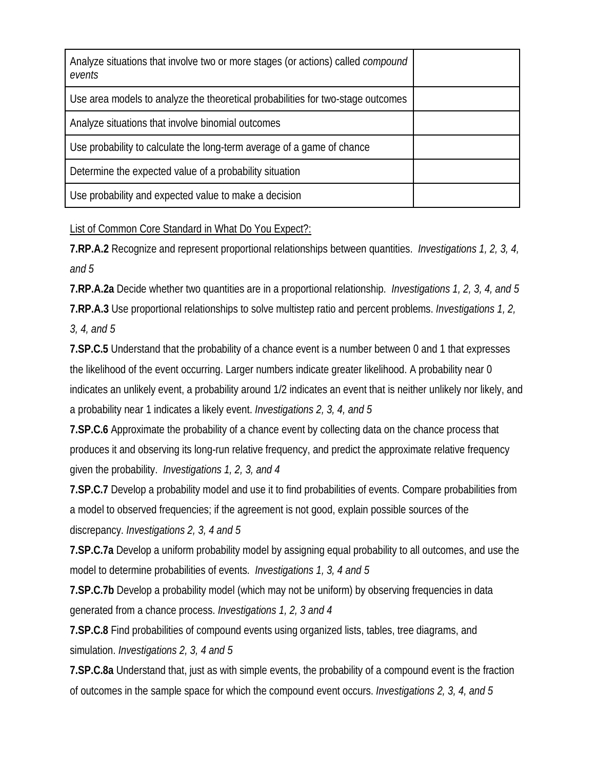| Analyze situations that involve two or more stages (or actions) called <i>compound</i><br>events |  |
|--------------------------------------------------------------------------------------------------|--|
| Use area models to analyze the theoretical probabilities for two-stage outcomes                  |  |
| Analyze situations that involve binomial outcomes                                                |  |
| Use probability to calculate the long-term average of a game of chance                           |  |
| Determine the expected value of a probability situation                                          |  |
| Use probability and expected value to make a decision                                            |  |

List of Common Core Standard in What Do You Expect?:

**7.RP.A.2** Recognize and represent proportional relationships between quantities. *Investigations 1, 2, 3, 4, and 5*

**7.RP.A.2a** Decide whether two quantities are in a proportional relationship. *Investigations 1, 2, 3, 4, and 5* **7.RP.A.3** Use proportional relationships to solve multistep ratio and percent problems. *Investigations 1, 2, 3, 4, and 5*

**7.SP.C.5** Understand that the probability of a chance event is a number between 0 and 1 that expresses the likelihood of the event occurring. Larger numbers indicate greater likelihood. A probability near 0 indicates an unlikely event, a probability around 1/2 indicates an event that is neither unlikely nor likely, and a probability near 1 indicates a likely event. *Investigations 2, 3, 4, and 5*

**7.SP.C.6** Approximate the probability of a chance event by collecting data on the chance process that produces it and observing its long-run relative frequency, and predict the approximate relative frequency given the probability. *Investigations 1, 2, 3, and 4*

**7.SP.C.7** Develop a probability model and use it to find probabilities of events. Compare probabilities from a model to observed frequencies; if the agreement is not good, explain possible sources of the discrepancy. *Investigations 2, 3, 4 and 5*

**7.SP.C.7a** Develop a uniform probability model by assigning equal probability to all outcomes, and use the model to determine probabilities of events. *Investigations 1, 3, 4 and 5*

**7.SP.C.7b** Develop a probability model (which may not be uniform) by observing frequencies in data generated from a chance process. *Investigations 1, 2, 3 and 4*

**7.SP.C.8** Find probabilities of compound events using organized lists, tables, tree diagrams, and simulation. *Investigations 2, 3, 4 and 5*

**7.SP.C.8a** Understand that, just as with simple events, the probability of a compound event is the fraction of outcomes in the sample space for which the compound event occurs. *Investigations 2, 3, 4, and 5*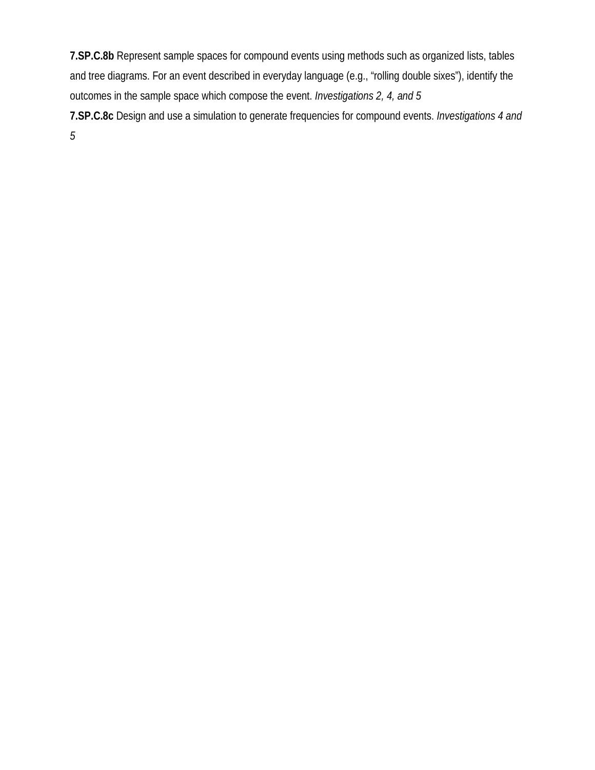**7.SP.C.8b** Represent sample spaces for compound events using methods such as organized lists, tables and tree diagrams. For an event described in everyday language (e.g., "rolling double sixes"), identify the outcomes in the sample space which compose the event. *Investigations 2, 4, and 5* **7.SP.C.8c** Design and use a simulation to generate frequencies for compound events. *Investigations 4 and* 

*5*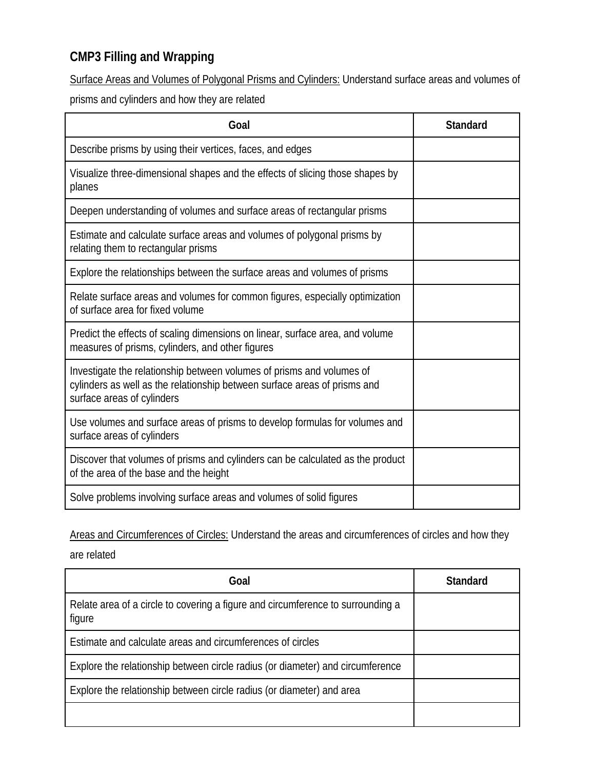# **CMP3 Filling and Wrapping**

Surface Areas and Volumes of Polygonal Prisms and Cylinders: Understand surface areas and volumes of

prisms and cylinders and how they are related

| Goal                                                                                                                                                                             | <b>Standard</b> |
|----------------------------------------------------------------------------------------------------------------------------------------------------------------------------------|-----------------|
| Describe prisms by using their vertices, faces, and edges                                                                                                                        |                 |
| Visualize three-dimensional shapes and the effects of slicing those shapes by<br>planes                                                                                          |                 |
| Deepen understanding of volumes and surface areas of rectangular prisms                                                                                                          |                 |
| Estimate and calculate surface areas and volumes of polygonal prisms by<br>relating them to rectangular prisms                                                                   |                 |
| Explore the relationships between the surface areas and volumes of prisms                                                                                                        |                 |
| Relate surface areas and volumes for common figures, especially optimization<br>of surface area for fixed volume                                                                 |                 |
| Predict the effects of scaling dimensions on linear, surface area, and volume<br>measures of prisms, cylinders, and other figures                                                |                 |
| Investigate the relationship between volumes of prisms and volumes of<br>cylinders as well as the relationship between surface areas of prisms and<br>surface areas of cylinders |                 |
| Use volumes and surface areas of prisms to develop formulas for volumes and<br>surface areas of cylinders                                                                        |                 |
| Discover that volumes of prisms and cylinders can be calculated as the product<br>of the area of the base and the height                                                         |                 |
| Solve problems involving surface areas and volumes of solid figures                                                                                                              |                 |

Areas and Circumferences of Circles: Understand the areas and circumferences of circles and how they

are related

| Goal                                                                                      | <b>Standard</b> |
|-------------------------------------------------------------------------------------------|-----------------|
| Relate area of a circle to covering a figure and circumference to surrounding a<br>figure |                 |
| Estimate and calculate areas and circumferences of circles                                |                 |
| Explore the relationship between circle radius (or diameter) and circumference            |                 |
| Explore the relationship between circle radius (or diameter) and area                     |                 |
|                                                                                           |                 |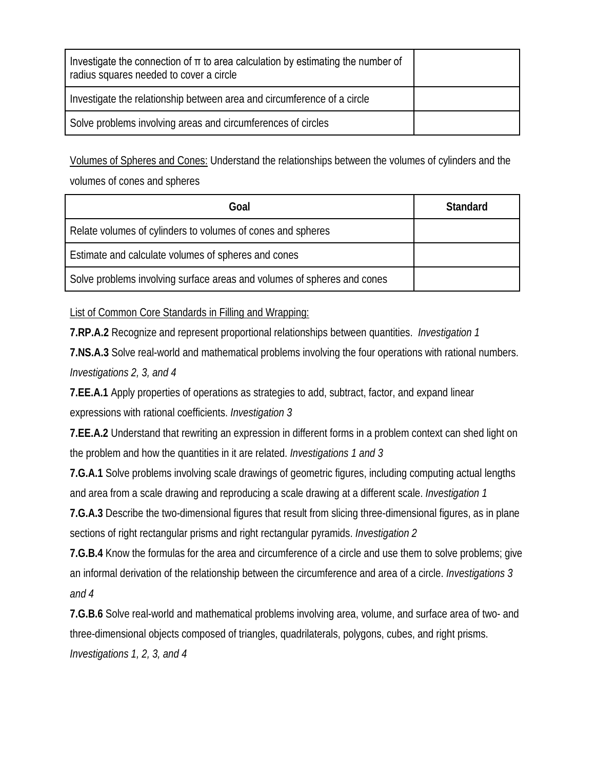| Investigate the connection of $\pi$ to area calculation by estimating the number of<br>radius squares needed to cover a circle |  |
|--------------------------------------------------------------------------------------------------------------------------------|--|
| Investigate the relationship between area and circumference of a circle                                                        |  |
| Solve problems involving areas and circumferences of circles                                                                   |  |

Volumes of Spheres and Cones: Understand the relationships between the volumes of cylinders and the volumes of cones and spheres

| Goal                                                                    | <b>Standard</b> |
|-------------------------------------------------------------------------|-----------------|
| Relate volumes of cylinders to volumes of cones and spheres             |                 |
| Estimate and calculate volumes of spheres and cones                     |                 |
| Solve problems involving surface areas and volumes of spheres and cones |                 |

List of Common Core Standards in Filling and Wrapping:

**7.RP.A.2** Recognize and represent proportional relationships between quantities. *Investigation 1*

**7.NS.A.3** Solve real-world and mathematical problems involving the four operations with rational numbers. *Investigations 2, 3, and 4*

**7.EE.A.1** Apply properties of operations as strategies to add, subtract, factor, and expand linear expressions with rational coefficients. *Investigation 3*

**7.EE.A.2** Understand that rewriting an expression in different forms in a problem context can shed light on the problem and how the quantities in it are related. *Investigations 1 and 3*

**7.G.A.1** Solve problems involving scale drawings of geometric figures, including computing actual lengths and area from a scale drawing and reproducing a scale drawing at a different scale. *Investigation 1*

**7.G.A.3** Describe the two-dimensional figures that result from slicing three-dimensional figures, as in plane sections of right rectangular prisms and right rectangular pyramids. *Investigation 2*

**7.G.B.4** Know the formulas for the area and circumference of a circle and use them to solve problems; give an informal derivation of the relationship between the circumference and area of a circle. *Investigations 3 and 4*

**7.G.B.6** Solve real-world and mathematical problems involving area, volume, and surface area of two- and three-dimensional objects composed of triangles, quadrilaterals, polygons, cubes, and right prisms. *Investigations 1, 2, 3, and 4*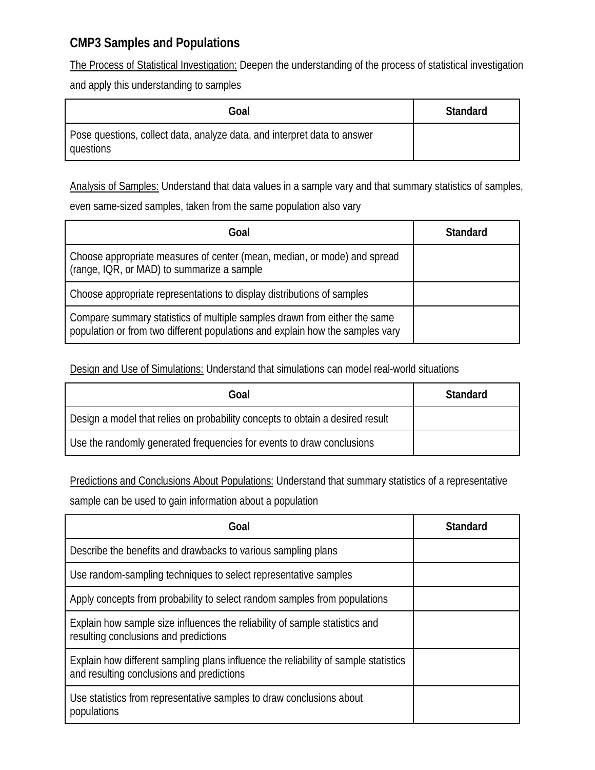### **CMP3 Samples and Populations**

The Process of Statistical Investigation: Deepen the understanding of the process of statistical investigation

and apply this understanding to samples

| Goal                                                                                  | <b>Standard</b> |
|---------------------------------------------------------------------------------------|-----------------|
| Pose questions, collect data, analyze data, and interpret data to answer<br>questions |                 |

Analysis of Samples: Understand that data values in a sample vary and that summary statistics of samples, even same-sized samples, taken from the same population also vary

| Goal                                                                                                                                                       | <b>Standard</b> |
|------------------------------------------------------------------------------------------------------------------------------------------------------------|-----------------|
| Choose appropriate measures of center (mean, median, or mode) and spread<br>(range, IQR, or MAD) to summarize a sample                                     |                 |
| Choose appropriate representations to display distributions of samples                                                                                     |                 |
| Compare summary statistics of multiple samples drawn from either the same<br>population or from two different populations and explain how the samples vary |                 |

Design and Use of Simulations: Understand that simulations can model real-world situations

| Goal                                                                          | <b>Standard</b> |
|-------------------------------------------------------------------------------|-----------------|
| Design a model that relies on probability concepts to obtain a desired result |                 |
| Use the randomly generated frequencies for events to draw conclusions         |                 |

Predictions and Conclusions About Populations: Understand that summary statistics of a representative sample can be used to gain information about a population

| Goal                                                                                                                             | <b>Standard</b> |
|----------------------------------------------------------------------------------------------------------------------------------|-----------------|
| Describe the benefits and drawbacks to various sampling plans                                                                    |                 |
| Use random-sampling techniques to select representative samples                                                                  |                 |
| Apply concepts from probability to select random samples from populations                                                        |                 |
| Explain how sample size influences the reliability of sample statistics and<br>resulting conclusions and predictions             |                 |
| Explain how different sampling plans influence the reliability of sample statistics<br>and resulting conclusions and predictions |                 |
| Use statistics from representative samples to draw conclusions about<br>populations                                              |                 |